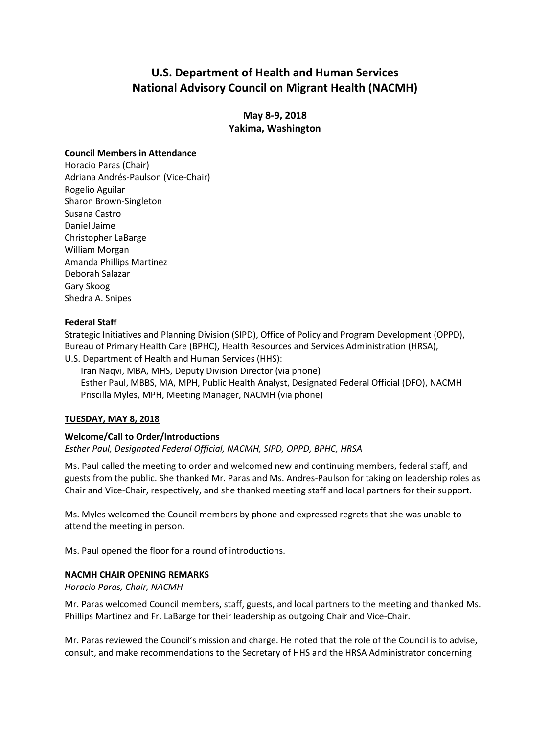# **U.S. Department of Health and Human Services National Advisory Council on Migrant Health (NACMH)**

**May 8-9, 2018 Yakima, Washington** 

#### **Council Members in Attendance**

 Horacio Paras (Chair) Adriana Andrés-Paulson (Vice-Chair) Rogelio Aguilar Sharon Brown-Singleton Susana Castro Daniel Jaime Christopher LaBarge William Morgan Amanda Phillips Martinez Deborah Salazar Gary Skoog Shedra A. Snipes

## **Federal Staff**

 Strategic Initiatives and Planning Division (SIPD), Office of Policy and Program Development (OPPD), U.S. Department of Health and Human Services (HHS): Bureau of Primary Health Care (BPHC), Health Resources and Services Administration (HRSA),

 Iran Naqvi, MBA, MHS, Deputy Division Director (via phone) Esther Paul, MBBS, MA, MPH, Public Health Analyst, Designated Federal Official (DFO), NACMH Priscilla Myles, MPH, Meeting Manager, NACMH (via phone)

# **TUESDAY, MAY 8, 2018**

# **Welcome/Call to Order/Introductions**

*Esther Paul, Designated Federal Official, NACMH, SIPD, OPPD, BPHC, HRSA* 

 Ms. Paul called the meeting to order and welcomed new and continuing members, federal staff, and guests from the public. She thanked Mr. Paras and Ms. Andres-Paulson for taking on leadership roles as Chair and Vice-Chair, respectively, and she thanked meeting staff and local partners for their support.

 Ms. Myles welcomed the Council members by phone and expressed regrets that she was unable to attend the meeting in person.

Ms. Paul opened the floor for a round of introductions.

# **NACMH CHAIR OPENING REMARKS**

*Horacio Paras, Chair, NACMH* 

Mr. Paras welcomed Council members, staff, guests, and local partners to the meeting and thanked Ms. Phillips Martinez and Fr. LaBarge for their leadership as outgoing Chair and Vice-Chair.

Mr. Paras reviewed the Council's mission and charge. He noted that the role of the Council is to advise, consult, and make recommendations to the Secretary of HHS and the HRSA Administrator concerning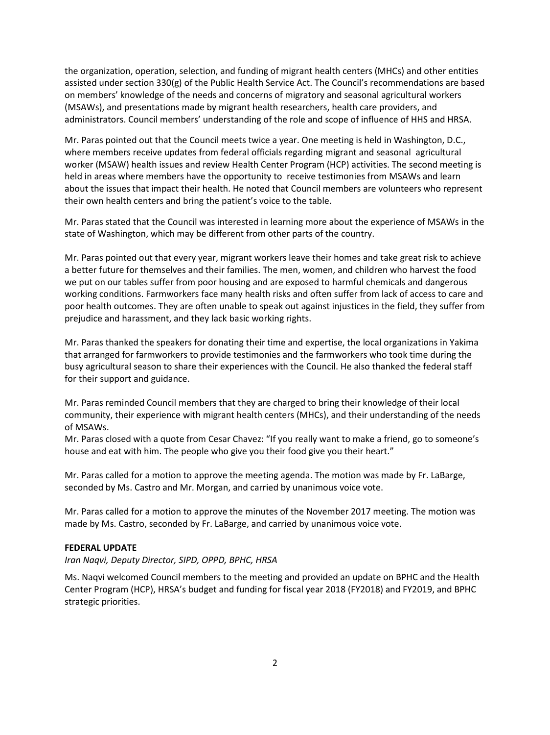assisted under section 330(g) of the Public Health Service Act. The Council's recommendations are based on members' knowledge of the needs and concerns of migratory and seasonal agricultural workers (MSAWs), and presentations made by migrant health researchers, health care providers, and the organization, operation, selection, and funding of migrant health centers (MHCs) and other entities administrators. Council members' understanding of the role and scope of influence of HHS and HRSA.

 Mr. Paras pointed out that the Council meets twice a year. One meeting is held in Washington, D.C., where members receive updates from federal officials regarding migrant and seasonal agricultural worker (MSAW) health issues and review Health Center Program (HCP) activities. The second meeting is held in areas where members have the opportunity to receive testimonies from MSAWs and learn their own health centers and bring the patient's voice to the table. about the issues that impact their health. He noted that Council members are volunteers who represent

 Mr. Paras stated that the Council was interested in learning more about the experience of MSAWs in the state of Washington, which may be different from other parts of the country.

 Mr. Paras pointed out that every year, migrant workers leave their homes and take great risk to achieve a better future for themselves and their families. The men, women, and children who harvest the food we put on our tables suffer from poor housing and are exposed to harmful chemicals and dangerous working conditions. Farmworkers face many health risks and often suffer from lack of access to care and poor health outcomes. They are often unable to speak out against injustices in the field, they suffer from prejudice and harassment, and they lack basic working rights.

Mr. Paras thanked the speakers for donating their time and expertise, the local organizations in Yakima that arranged for farmworkers to provide testimonies and the farmworkers who took time during the busy agricultural season to share their experiences with the Council. He also thanked the federal staff for their support and guidance.

Mr. Paras reminded Council members that they are charged to bring their knowledge of their local community, their experience with migrant health centers (MHCs), and their understanding of the needs of MSAWs.

Mr. Paras closed with a quote from Cesar Chavez: "If you really want to make a friend, go to someone's house and eat with him. The people who give you their food give you their heart."

 Mr. Paras called for a motion to approve the meeting agenda. The motion was made by Fr. LaBarge, seconded by Ms. Castro and Mr. Morgan, and carried by unanimous voice vote.

 made by Ms. Castro, seconded by Fr. LaBarge, and carried by unanimous voice vote. Mr. Paras called for a motion to approve the minutes of the November 2017 meeting. The motion was

#### **FEDERAL UPDATE**

*Iran Naqvi, Deputy Director, SIPD, OPPD, BPHC, HRSA* 

 Ms. Naqvi welcomed Council members to the meeting and provided an update on BPHC and the Health Center Program (HCP), HRSA's budget and funding for fiscal year 2018 (FY2018) and FY2019, and BPHC strategic priorities.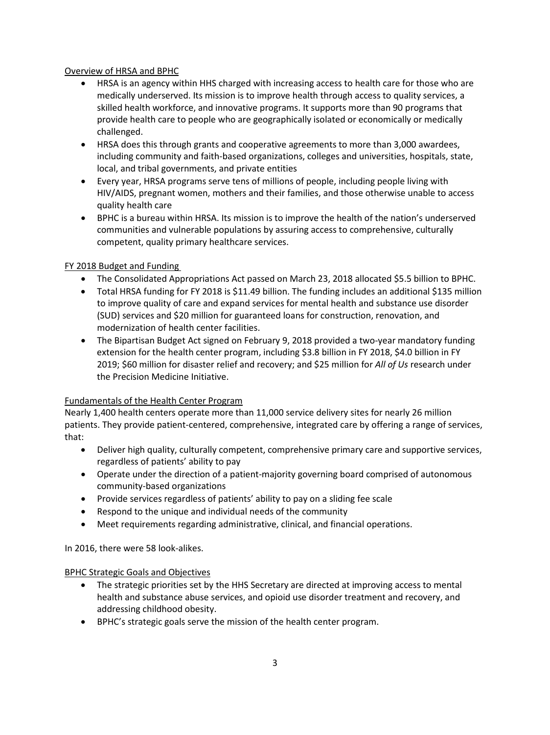# Overview of HRSA and BPHC

- • HRSA is an agency within HHS charged with increasing access to health care for those who are medically underserved. Its mission is to improve health through access to quality services, a skilled health workforce, and innovative programs. It supports more than 90 programs that provide health care to people who are geographically isolated or economically or medically challenged.
- • HRSA does this through grants and cooperative agreements to more than 3,000 awardees, including community and faith-based organizations, colleges and universities, hospitals, state, local, and tribal governments, and private entities
- Every year, HRSA programs serve tens of millions of people, including people living with HIV/AIDS, pregnant women, mothers and their families, and those otherwise unable to access quality health care
- • BPHC is a bureau within HRSA. Its mission is to improve the health of the nation's underserved communities and vulnerable populations by assuring access to comprehensive, culturally competent, quality primary healthcare services.

# FY 2018 Budget and Funding

- The Consolidated Appropriations Act passed on March 23, 2018 allocated \$5.5 billion to BPHC.
- Total HRSA funding for FY 2018 is \$11.49 billion. The funding includes an additional \$135 million to improve quality of care and expand services for mental health and substance use disorder (SUD) services and \$20 million for guaranteed loans for construction, renovation, and modernization of health center facilities.
- The Bipartisan Budget Act signed on February 9, 2018 provided a two-year mandatory funding extension for the health center program, including \$3.8 billion in FY 2018, \$4.0 billion in FY 2019; \$60 million for disaster relief and recovery; and \$25 million for *All of Us* research under the Precision Medicine Initiative.

# Fundamentals of the Health Center Program

 Nearly 1,400 health centers operate more than 11,000 service delivery sites for nearly 26 million that: patients. They provide patient-centered, comprehensive, integrated care by offering a range of services,

- Deliver high quality, culturally competent, comprehensive primary care and supportive services, regardless of patients' ability to pay
- Operate under the direction of a patient-majority governing board comprised of autonomous community-based organizations
- Provide services regardless of patients' ability to pay on a sliding fee scale
- Respond to the unique and individual needs of the community
- Meet requirements regarding administrative, clinical, and financial operations.

In 2016, there were 58 look-alikes.

# BPHC Strategic Goals and Objectives

- • The strategic priorities set by the HHS Secretary are directed at improving access to mental health and substance abuse services, and opioid use disorder treatment and recovery, and addressing childhood obesity.
- BPHC's strategic goals serve the mission of the health center program.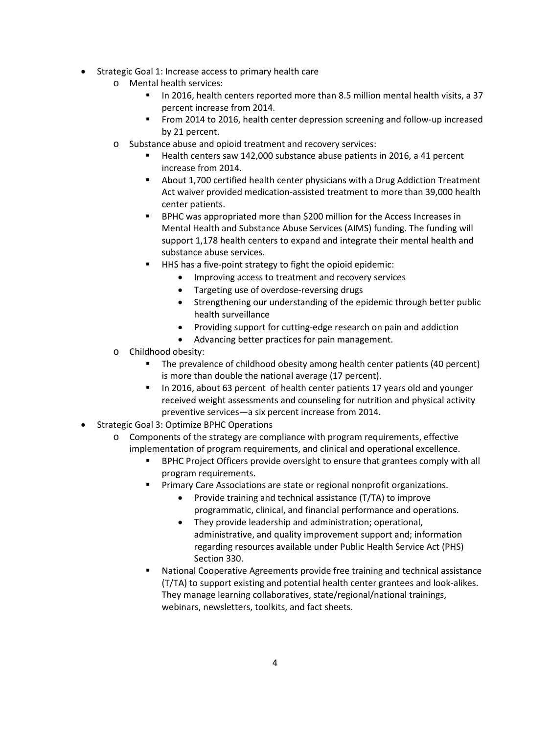- Strategic Goal 1: Increase access to primary health care
	- o Mental health services:
		- In 2016, health centers reported more than 8.5 million mental health visits, a 37 percent increase from 2014.
		- From 2014 to 2016, health center depression screening and follow-up increased by 21 percent.
	- o Substance abuse and opioid treatment and recovery services:
		- Health centers saw 142,000 substance abuse patients in 2016, a 41 percent increase from 2014.
		- **About 1,700 certified health center physicians with a Drug Addiction Treatment** Act waiver provided medication-assisted treatment to more than 39,000 health center patients.
		- support 1,178 health centers to expand and integrate their mental health and BPHC was appropriated more than \$200 million for the Access Increases in Mental Health and Substance Abuse Services (AIMS) funding. The funding will substance abuse services.
		- HHS has a five-point strategy to fight the opioid epidemic:
			- Improving access to treatment and recovery services
			- Targeting use of overdose-reversing drugs
			- Strengthening our understanding of the epidemic through better public health surveillance
			- Providing support for cutting-edge research on pain and addiction
			- Advancing better practices for pain management.
	- o Childhood obesity:
		- The prevalence of childhood obesity among health center patients (40 percent) is more than double the national average (17 percent).
		- In 2016, about 63 percent of health center patients 17 years old and younger received weight assessments and counseling for nutrition and physical activity preventive services—a six percent increase from 2014.
- Strategic Goal 3: Optimize BPHC Operations
	- o Components of the strategy are compliance with program requirements, effective implementation of program requirements, and clinical and operational excellence.
		- BPHC Project Officers provide oversight to ensure that grantees comply with all program requirements.
		- **Primary Care Associations are state or regional nonprofit organizations.** 
			- Provide training and technical assistance (T/TA) to improve programmatic, clinical, and financial performance and operations.
			- They provide leadership and administration; operational, administrative, and quality improvement support and; information regarding resources available under Public Health Service Act (PHS) Section 330.
		- National Cooperative Agreements provide free training and technical assistance (T/TA) to support existing and potential health center grantees and look-alikes. They manage learning collaboratives, state/regional/national trainings, webinars, newsletters, toolkits, and fact sheets.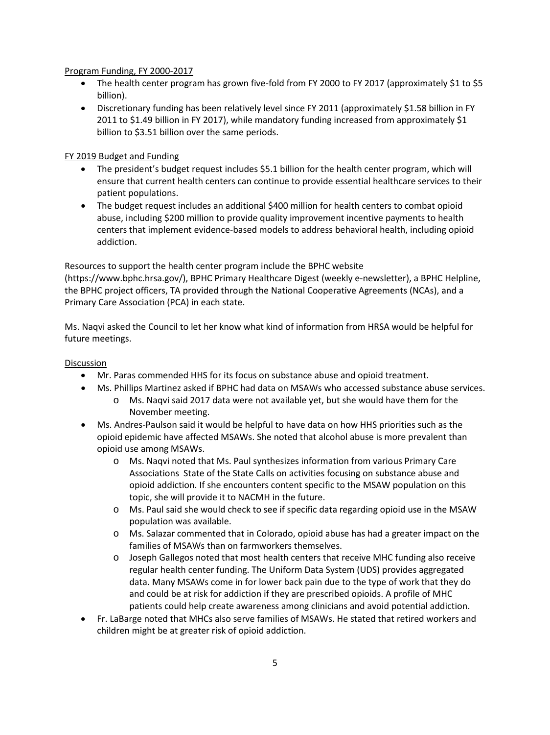#### Program Funding, FY 2000-2017

- The health center program has grown five-fold from FY 2000 to FY 2017 (approximately \$1 to \$5 billion).
- • Discretionary funding has been relatively level since FY 2011 (approximately \$1.58 billion in FY billion to \$3.51 billion over the same periods. 2011 to \$1.49 billion in FY 2017), while mandatory funding increased from approximately \$1

#### FY 2019 Budget and Funding

- • The president's budget request includes \$5.1 billion for the health center program, which will ensure that current health centers can continue to provide essential healthcare services to their patient populations.
- • The budget request includes an additional \$400 million for health centers to combat opioid abuse, including \$200 million to provide quality improvement incentive payments to health centers that implement evidence-based models to address behavioral health, including opioid addiction.

 Resources to support the health center program include the BPHC website Primary Care Association (PCA) in each state. [\(https://www.bphc.hrsa.gov/\), BP](https://www.bphc.hrsa.gov/)HC Primary Healthcare Digest (weekly e-newsletter), a BPHC Helpline, the BPHC project officers, TA provided through the National Cooperative Agreements (NCAs), and a

Ms. Naqvi asked the Council to let her know what kind of information from HRSA would be helpful for future meetings.

- Mr. Paras commended HHS for its focus on substance abuse and opioid treatment.
- Ms. Phillips Martinez asked if BPHC had data on MSAWs who accessed substance abuse services.
	- $\circ$  Ms. Naqvi said 2017 data were not available yet, but she would have them for the November meeting.
- opioid epidemic have affected MSAWs. She noted that alcohol abuse is more prevalent than • Ms. Andres-Paulson said it would be helpful to have data on how HHS priorities such as the opioid use among MSAWs.
	- Associations State of the State Calls on activities focusing on substance abuse and topic, she will provide it to NACMH in the future. o Ms. Naqvi noted that Ms. Paul synthesizes information from various Primary Care opioid addiction. If she encounters content specific to the MSAW population on this
	- o Ms. Paul said she would check to see if specific data regarding opioid use in the MSAW population was available.
	- o Ms. Salazar commented that in Colorado, opioid abuse has had a greater impact on the families of MSAWs than on farmworkers themselves.
	- o Joseph Gallegos noted that most health centers that receive MHC funding also receive regular health center funding. The Uniform Data System (UDS) provides aggregated data. Many MSAWs come in for lower back pain due to the type of work that they do and could be at risk for addiction if they are prescribed opioids. A profile of MHC patients could help create awareness among clinicians and avoid potential addiction.
- • Fr. LaBarge noted that MHCs also serve families of MSAWs. He stated that retired workers and children might be at greater risk of opioid addiction.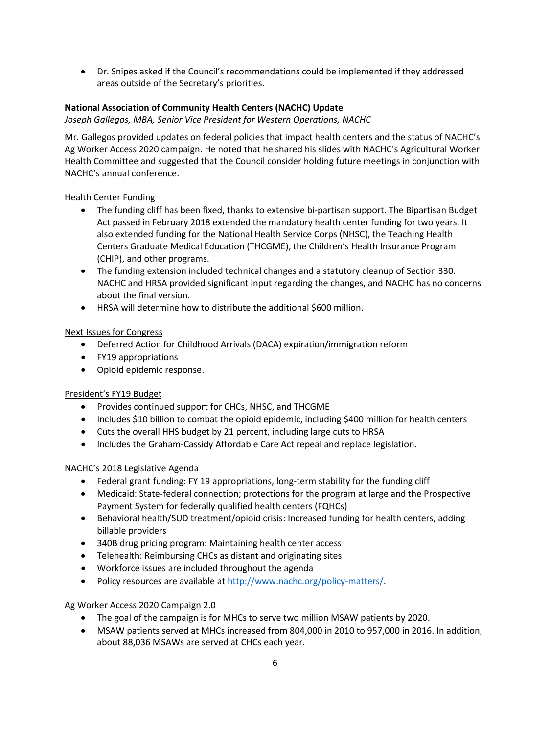• Dr. Snipes asked if the Council's recommendations could be implemented if they addressed areas outside of the Secretary's priorities.

# **National Association of Community Health Centers (NACHC) Update**

*Joseph Gallegos, MBA, Senior Vice President for Western Operations, NACHC* 

 Mr. Gallegos provided updates on federal policies that impact health centers and the status of NACHC's Ag Worker Access 2020 campaign. He noted that he shared his slides with NACHC's Agricultural Worker Health Committee and suggested that the Council consider holding future meetings in conjunction with NACHC's annual conference.

# Health Center Funding

- The funding cliff has been fixed, thanks to extensive bi-partisan support. The Bipartisan Budget Act passed in February 2018 extended the mandatory health center funding for two years. It also extended funding for the National Health Service Corps (NHSC), the Teaching Health Centers Graduate Medical Education (THCGME), the Children's Health Insurance Program (CHIP), and other programs.
- The funding extension included technical changes and a statutory cleanup of Section 330. NACHC and HRSA provided significant input regarding the changes, and NACHC has no concerns about the final version.
- HRSA will determine how to distribute the additional \$600 million.

# Next Issues for Congress

- Deferred Action for Childhood Arrivals (DACA) expiration/immigration reform
- FY19 appropriations
- Opioid epidemic response.

# President's FY19 Budget

- Provides continued support for CHCs, NHSC, and THCGME
- Includes \$10 billion to combat the opioid epidemic, including \$400 million for health centers
- Cuts the overall HHS budget by 21 percent, including large cuts to HRSA
- Includes the Graham-Cassidy Affordable Care Act repeal and replace legislation.

# NACHC's 2018 Legislative Agenda

- Federal grant funding: FY 19 appropriations, long-term stability for the funding cliff
- • Medicaid: State-federal connection; protections for the program at large and the Prospective Payment System for federally qualified health centers (FQHCs)
- Behavioral health/SUD treatment/opioid crisis: Increased funding for health centers, adding billable providers
- 340B drug pricing program: Maintaining health center access
- Telehealth: Reimbursing CHCs as distant and originating sites
- Workforce issues are included throughout the agenda
- Policy resources are available at http://www.nachc.org/policy-matters/.

# Ag Worker Access 2020 Campaign 2.0

- The goal of the campaign is for MHCs to serve two million MSAW patients by 2020.
- MSAW patients served at MHCs increased from 804,000 in 2010 to 957,000 in 2016. In addition, about 88,036 MSAWs are served at CHCs each year.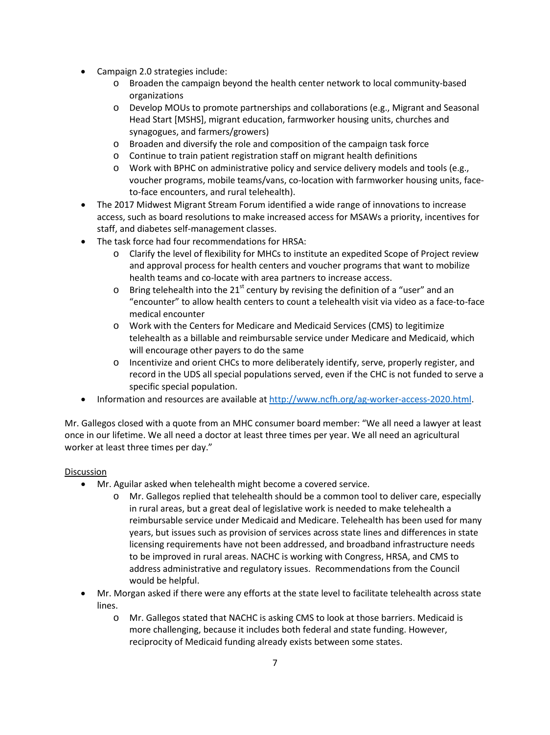- Campaign 2.0 strategies include:
	- o Broaden the campaign beyond the health center network to local community-based organizations
	- o Develop MOUs to promote partnerships and collaborations (e.g., Migrant and Seasonal Head Start [MSHS], migrant education, farmworker housing units, churches and synagogues, and farmers/growers)
	- o Broaden and diversify the role and composition of the campaign task force
	- o Continue to train patient registration staff on migrant health definitions
	- o Work with BPHC on administrative policy and service delivery models and tools (e.g., to-face encounters, and rural telehealth). voucher programs, mobile teams/vans, co-location with farmworker housing units, face-
- • The 2017 Midwest Migrant Stream Forum identified a wide range of innovations to increase access, such as board resolutions to make increased access for MSAWs a priority, incentives for staff, and diabetes self-management classes.
- The task force had four recommendations for HRSA:
	- o Clarify the level of flexibility for MHCs to institute an expedited Scope of Project review and approval process for health centers and voucher programs that want to mobilize health teams and co-locate with area partners to increase access.
	- $\circ$  Bring telehealth into the 21<sup>st</sup> century by revising the definition of a "user" and an "encounter" to allow health centers to count a telehealth visit via video as a face-to-face medical encounter
	- o Work with the Centers for Medicare and Medicaid Services (CMS) to legitimize telehealth as a billable and reimbursable service under Medicare and Medicaid, which will encourage other payers to do the same
	- o Incentivize and orient CHCs to more deliberately identify, serve, properly register, and record in the UDS all special populations served, even if the CHC is not funded to serve a specific special population.
- Information and resources are available a[t http://www.ncfh.org/ag-worker-access-2020.html.](http://www.ncfh.org/ag-worker-access-2020.html)

Mr. Gallegos closed with a quote from an MHC consumer board member: "We all need a lawyer at least once in our lifetime. We all need a doctor at least three times per year. We all need an agricultural worker at least three times per day."

- Mr. Aguilar asked when telehealth might become a covered service.
	- o Mr. Gallegos replied that telehealth should be a common tool to deliver care, especially years, but issues such as provision of services across state lines and differences in state to be improved in rural areas. NACHC is working with Congress, HRSA, and CMS to in rural areas, but a great deal of legislative work is needed to make telehealth a reimbursable service under Medicaid and Medicare. Telehealth has been used for many licensing requirements have not been addressed, and broadband infrastructure needs address administrative and regulatory issues. Recommendations from the Council would be helpful.
- • Mr. Morgan asked if there were any efforts at the state level to facilitate telehealth across state lines.
	- o Mr. Gallegos stated that NACHC is asking CMS to look at those barriers. Medicaid is more challenging, because it includes both federal and state funding. However, reciprocity of Medicaid funding already exists between some states.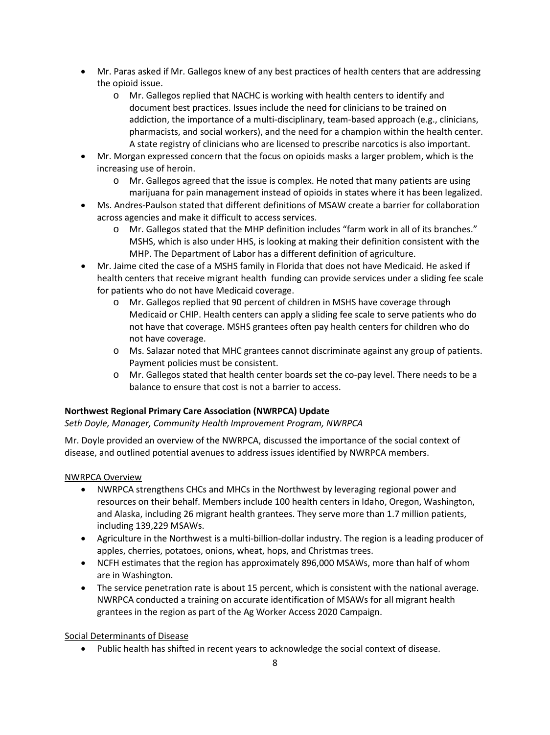- Mr. Paras asked if Mr. Gallegos knew of any best practices of health centers that are addressing the opioid issue.
	- pharmacists, and social workers), and the need for a champion within the health center. o Mr. Gallegos replied that NACHC is working with health centers to identify and document best practices. Issues include the need for clinicians to be trained on addiction, the importance of a multi-disciplinary, team-based approach (e.g., clinicians, A state registry of clinicians who are licensed to prescribe narcotics is also important.
- • Mr. Morgan expressed concern that the focus on opioids masks a larger problem, which is the increasing use of heroin.
	- o Mr. Gallegos agreed that the issue is complex. He noted that many patients are using marijuana for pain management instead of opioids in states where it has been legalized.
- • Ms. Andres-Paulson stated that different definitions of MSAW create a barrier for collaboration across agencies and make it difficult to access services.
	- MSHS, which is also under HHS, is looking at making their definition consistent with the o Mr. Gallegos stated that the MHP definition includes "farm work in all of its branches." MHP. The Department of Labor has a different definition of agriculture.
- Mr. Jaime cited the case of a MSHS family in Florida that does not have Medicaid. He asked if health centers that receive migrant health funding can provide services under a sliding fee scale for patients who do not have Medicaid coverage. •
	- Mr. Gallegos replied that 90 percent of children in MSHS have coverage through o Medicaid or CHIP. Health centers can apply a sliding fee scale to serve patients who do not have that coverage. MSHS grantees often pay health centers for children who do not have coverage.
	- Ms. Salazar noted that MHC grantees cannot discriminate against any group of patients. Payment policies must be consistent. o
	- Mr. Gallegos stated that health center boards set the co-pay level. There needs to be a o balance to ensure that cost is not a barrier to access.

# **Northwest Regional Primary Care Association (NWRPCA) Update**

*Seth Doyle, Manager, Community Health Improvement Program, NWRPCA* 

Mr. Doyle provided an overview of the NWRPCA, discussed the importance of the social context of disease, and outlined potential avenues to address issues identified by NWRPCA members.

#### NWRPCA Overview

- NWRPCA strengthens CHCs and MHCs in the Northwest by leveraging regional power and resources on their behalf. Members include 100 health centers in Idaho, Oregon, Washington, • and Alaska, including 26 migrant health grantees. They serve more than 1.7 million patients, including 139,229 MSAWs.
- Agriculture in the Northwest is a multi-billion-dollar industry. The region is a leading producer of apples, cherries, potatoes, onions, wheat, hops, and Christmas trees.
- NCFH estimates that the region has approximately 896,000 MSAWs, more than half of whom are in Washington.
- The service penetration rate is about 15 percent, which is consistent with the national average. NWRPCA conducted a training on accurate identification of MSAWs for all migrant health grantees in the region as part of the Ag Worker Access 2020 Campaign.

# Social Determinants of Disease

• Public health has shifted in recent years to acknowledge the social context of disease.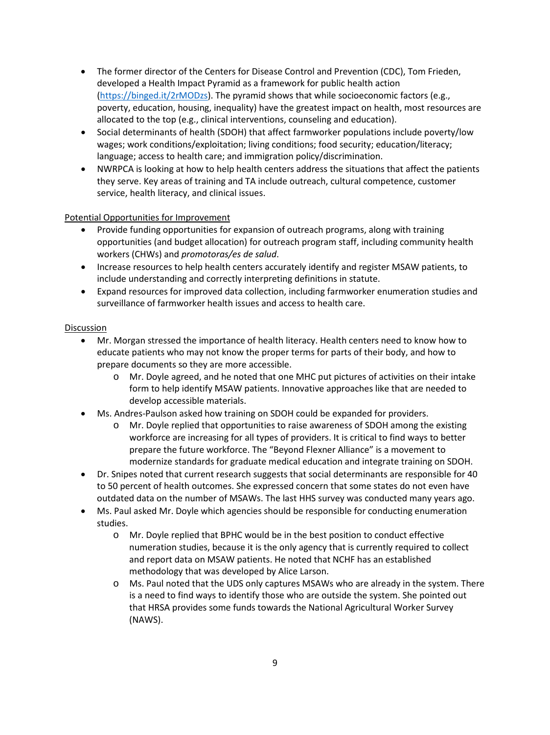- • The former director of the Centers for Disease Control and Prevention (CDC), Tom Frieden, developed a Health Impact Pyramid as a framework for public health action [\(https://binged.it/2rMODzs\)](https://binged.it/2rMODzs). The pyramid shows that while socioeconomic factors (e.g., poverty, education, housing, inequality) have the greatest impact on health, most resources are allocated to the top (e.g., clinical interventions, counseling and education).
- • Social determinants of health (SDOH) that affect farmworker populations include poverty/low language; access to health care; and immigration policy/discrimination. wages; work conditions/exploitation; living conditions; food security; education/literacy;
- NWRPCA is looking at how to help health centers address the situations that affect the patients they serve. Key areas of training and TA include outreach, cultural competence, customer service, health literacy, and clinical issues.

# Potential Opportunities for Improvement

- Provide funding opportunities for expansion of outreach programs, along with training opportunities (and budget allocation) for outreach program staff, including community health workers (CHWs) and *promotoras/es de salud*.
- Increase resources to help health centers accurately identify and register MSAW patients, to include understanding and correctly interpreting definitions in statute.
- Expand resources for improved data collection, including farmworker enumeration studies and surveillance of farmworker health issues and access to health care.

- Mr. Morgan stressed the importance of health literacy. Health centers need to know how to educate patients who may not know the proper terms for parts of their body, and how to prepare documents so they are more accessible.
	- o Mr. Doyle agreed, and he noted that one MHC put pictures of activities on their intake form to help identify MSAW patients. Innovative approaches like that are needed to develop accessible materials.
- Ms. Andres-Paulson asked how training on SDOH could be expanded for providers.
	- o Mr. Doyle replied that opportunities to raise awareness of SDOH among the existing workforce are increasing for all types of providers. It is critical to find ways to better prepare the future workforce. The "Beyond Flexner Alliance" is a movement to modernize standards for graduate medical education and integrate training on SDOH.
- Dr. Snipes noted that current research suggests that social determinants are responsible for 40 to 50 percent of health outcomes. She expressed concern that some states do not even have outdated data on the number of MSAWs. The last HHS survey was conducted many years ago.
- Ms. Paul asked Mr. Doyle which agencies should be responsible for conducting enumeration studies.
	- o Mr. Doyle replied that BPHC would be in the best position to conduct effective numeration studies, because it is the only agency that is currently required to collect and report data on MSAW patients. He noted that NCHF has an established methodology that was developed by Alice Larson.
	- o Ms. Paul noted that the UDS only captures MSAWs who are already in the system. There is a need to find ways to identify those who are outside the system. She pointed out that HRSA provides some funds towards the National Agricultural Worker Survey (NAWS).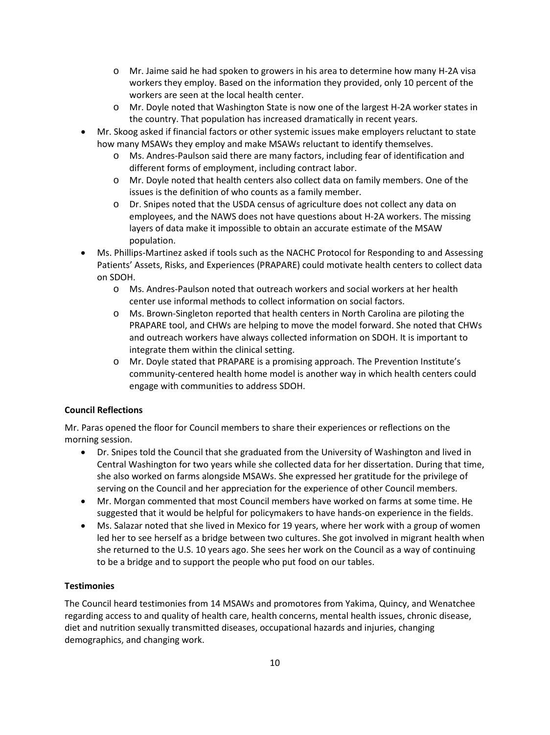- workers they employ. Based on the information they provided, only 10 percent of the o Mr. Jaime said he had spoken to growers in his area to determine how many H-2A visa workers are seen at the local health center.
- o Mr. Doyle noted that Washington State is now one of the largest H-2A worker states in the country. That population has increased dramatically in recent years.
- Mr. Skoog asked if financial factors or other systemic issues make employers reluctant to state how many MSAWs they employ and make MSAWs reluctant to identify themselves.
	- o Ms. Andres-Paulson said there are many factors, including fear of identification and different forms of employment, including contract labor.
	- o Mr. Doyle noted that health centers also collect data on family members. One of the issues is the definition of who counts as a family member.
	- o Dr. Snipes noted that the USDA census of agriculture does not collect any data on employees, and the NAWS does not have questions about H-2A workers. The missing layers of data make it impossible to obtain an accurate estimate of the MSAW population.
- Ms. Phillips-Martinez asked if tools such as the NACHC Protocol for Responding to and Assessing Patients' Assets, Risks, and Experiences (PRAPARE) could motivate health centers to collect data on SDOH.
	- o Ms. Andres-Paulson noted that outreach workers and social workers at her health center use informal methods to collect information on social factors.
	- o Ms. Brown-Singleton reported that health centers in North Carolina are piloting the PRAPARE tool, and CHWs are helping to move the model forward. She noted that CHWs and outreach workers have always collected information on SDOH. It is important to integrate them within the clinical setting.
	- o Mr. Doyle stated that PRAPARE is a promising approach. The Prevention Institute's community-centered health home model is another way in which health centers could engage with communities to address SDOH.

# **Council Reflections**

Mr. Paras opened the floor for Council members to share their experiences or reflections on the morning session.

- Dr. Snipes told the Council that she graduated from the University of Washington and lived in Central Washington for two years while she collected data for her dissertation. During that time, she also worked on farms alongside MSAWs. She expressed her gratitude for the privilege of serving on the Council and her appreciation for the experience of other Council members.
- Mr. Morgan commented that most Council members have worked on farms at some time. He suggested that it would be helpful for policymakers to have hands-on experience in the fields.
- Ms. Salazar noted that she lived in Mexico for 19 years, where her work with a group of women led her to see herself as a bridge between two cultures. She got involved in migrant health when she returned to the U.S. 10 years ago. She sees her work on the Council as a way of continuing to be a bridge and to support the people who put food on our tables.

# **Testimonies**

 The Council heard testimonies from 14 MSAWs and promotores from Yakima, Quincy, and Wenatchee regarding access to and quality of health care, health concerns, mental health issues, chronic disease, demographics, and changing work.<br>10 diet and nutrition sexually transmitted diseases, occupational hazards and injuries, changing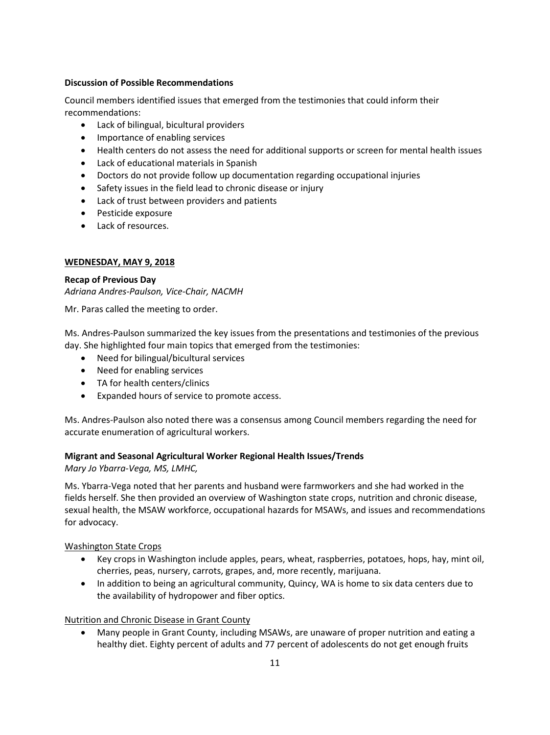#### **Discussion of Possible Recommendations**

 Council members identified issues that emerged from the testimonies that could inform their recommendations:

- Lack of bilingual, bicultural providers
- Importance of enabling services
- Health centers do not assess the need for additional supports or screen for mental health issues
- Lack of educational materials in Spanish
- Doctors do not provide follow up documentation regarding occupational injuries
- Safety issues in the field lead to chronic disease or injury
- Lack of trust between providers and patients
- Pesticide exposure
- Lack of resources.

## **WEDNESDAY, MAY 9, 2018**

# **Recap of Previous Day**

*Adriana Andres-Paulson, Vice-Chair, NACMH* 

Mr. Paras called the meeting to order.

Ms. Andres-Paulson summarized the key issues from the presentations and testimonies of the previous day. She highlighted four main topics that emerged from the testimonies:

- Need for bilingual/bicultural services
- Need for enabling services
- TA for health centers/clinics
- Expanded hours of service to promote access.

Ms. Andres-Paulson also noted there was a consensus among Council members regarding the need for accurate enumeration of agricultural workers.

# **Migrant and Seasonal Agricultural Worker Regional Health Issues/Trends**

 *Mary Jo Ybarra-Vega, MS, LMHC,* 

Ms. Ybarra-Vega noted that her parents and husband were farmworkers and she had worked in the fields herself. She then provided an overview of Washington state crops, nutrition and chronic disease, sexual health, the MSAW workforce, occupational hazards for MSAWs, and issues and recommendations for advocacy.

Washington State Crops

- Key crops in Washington include apples, pears, wheat, raspberries, potatoes, hops, hay, mint oil, cherries, peas, nursery, carrots, grapes, and, more recently, marijuana.
- In addition to being an agricultural community, Quincy, WA is home to six data centers due to the availability of hydropower and fiber optics.

# Nutrition and Chronic Disease in Grant County

• Many people in Grant County, including MSAWs, are unaware of proper nutrition and eating a healthy diet. Eighty percent of adults and 77 percent of adolescents do not get enough fruits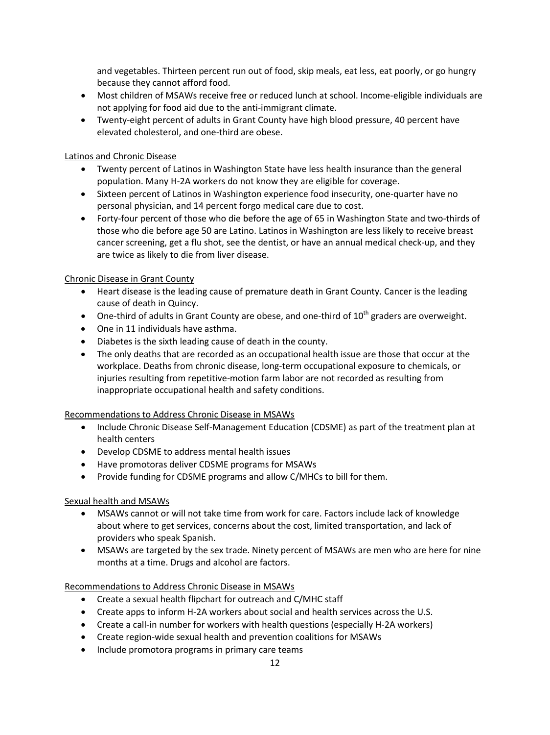and vegetables. Thirteen percent run out of food, skip meals, eat less, eat poorly, or go hungry because they cannot afford food.

- • Most children of MSAWs receive free or reduced lunch at school. Income-eligible individuals are not applying for food aid due to the anti-immigrant climate.
- Twenty-eight percent of adults in Grant County have high blood pressure, 40 percent have elevated cholesterol, and one-third are obese.

## Latinos and Chronic Disease

- • Twenty percent of Latinos in Washington State have less health insurance than the general population. Many H-2A workers do not know they are eligible for coverage.
- personal physician, and 14 percent forgo medical care due to cost. • Sixteen percent of Latinos in Washington experience food insecurity, one-quarter have no
- • Forty-four percent of those who die before the age of 65 in Washington State and two-thirds of those who die before age 50 are Latino. Latinos in Washington are less likely to receive breast cancer screening, get a flu shot, see the dentist, or have an annual medical check-up, and they are twice as likely to die from liver disease.

## Chronic Disease in Grant County

- • Heart disease is the leading cause of premature death in Grant County. Cancer is the leading cause of death in Quincy.
- One-third of adults in Grant County are obese, and one-third of  $10^{th}$  graders are overweight.
- One in 11 individuals have asthma.
- Diabetes is the sixth leading cause of death in the county.
- • The only deaths that are recorded as an occupational health issue are those that occur at the inappropriate occupational health and safety conditions. workplace. Deaths from chronic disease, long-term occupational exposure to chemicals, or injuries resulting from repetitive-motion farm labor are not recorded as resulting from

# Recommendations to Address Chronic Disease in MSAWs

- • Include Chronic Disease Self-Management Education (CDSME) as part of the treatment plan at health centers
- Develop CDSME to address mental health issues
- Have promotoras deliver CDSME programs for MSAWs
- Provide funding for CDSME programs and allow C/MHCs to bill for them.

# Sexual health and MSAWs

- • MSAWs cannot or will not take time from work for care. Factors include lack of knowledge about where to get services, concerns about the cost, limited transportation, and lack of providers who speak Spanish.
- months at a time. Drugs and alcohol are factors. • MSAWs are targeted by the sex trade. Ninety percent of MSAWs are men who are here for nine

# Recommendations to Address Chronic Disease in MSAWs

- Create a sexual health flipchart for outreach and C/MHC staff
- Create apps to inform H-2A workers about social and health services across the U.S.
- Create a call-in number for workers with health questions (especially H-2A workers)
- Create region-wide sexual health and prevention coalitions for MSAWs
- Include promotora programs in primary care teams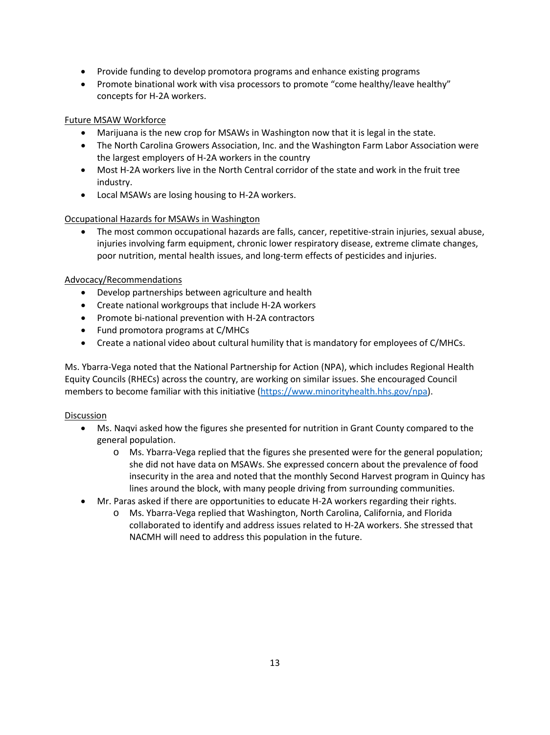- Provide funding to develop promotora programs and enhance existing programs
- Promote binational work with visa processors to promote "come healthy/leave healthy" concepts for H-2A workers.

# Future MSAW Workforce

- Marijuana is the new crop for MSAWs in Washington now that it is legal in the state.
- The North Carolina Growers Association, Inc. and the Washington Farm Labor Association were the largest employers of H-2A workers in the country
- Most H-2A workers live in the North Central corridor of the state and work in the fruit tree industry.
- Local MSAWs are losing housing to H-2A workers.

# Occupational Hazards for MSAWs in Washington

 poor nutrition, mental health issues, and long-term effects of pesticides and injuries. • The most common occupational hazards are falls, cancer, repetitive-strain injuries, sexual abuse, injuries involving farm equipment, chronic lower respiratory disease, extreme climate changes,

## Advocacy/Recommendations

- Develop partnerships between agriculture and health
- Create national workgroups that include H-2A workers
- Promote bi-national prevention with H-2A contractors
- Fund promotora programs at C/MHCs
- Create a national video about cultural humility that is mandatory for employees of C/MHCs.

 Equity Councils (RHECs) across the country, are working on similar issues. She encouraged Council Ms. Ybarra-Vega noted that the National Partnership for Action (NPA), which includes Regional Health members to become familiar with this initiative [\(https://www.minorityhealth.hhs.gov/npa\)](https://www.minorityhealth.hhs.gov/npa).

- • Ms. Naqvi asked how the figures she presented for nutrition in Grant County compared to the general population.
	- she did not have data on MSAWs. She expressed concern about the prevalence of food insecurity in the area and noted that the monthly Second Harvest program in Quincy has lines around the block, with many people driving from surrounding communities. o Ms. Ybarra-Vega replied that the figures she presented were for the general population;
- Mr. Paras asked if there are opportunities to educate H-2A workers regarding their rights.
	- NACMH will need to address this population in the future. o Ms. Ybarra-Vega replied that Washington, North Carolina, California, and Florida collaborated to identify and address issues related to H-2A workers. She stressed that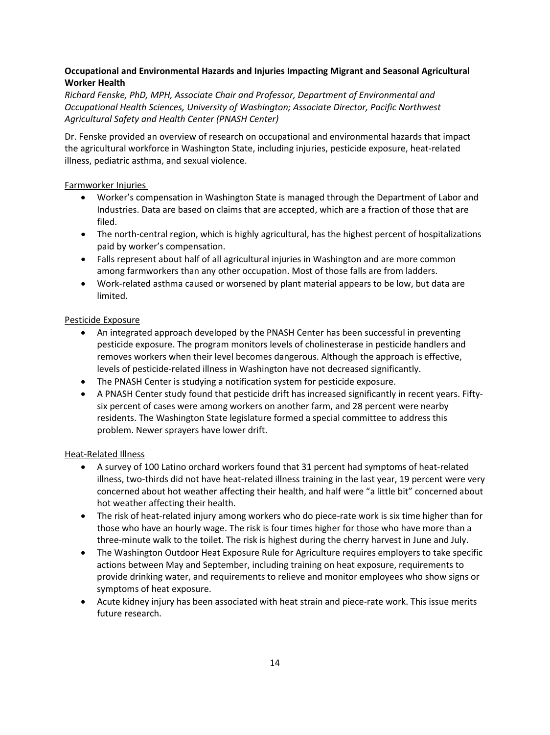# **Occupational and Environmental Hazards and Injuries Impacting Migrant and Seasonal Agricultural Worker Health**

 *Richard Fenske, PhD, MPH, Associate Chair and Professor, Department of Environmental and Agricultural Safety and Health Center (PNASH Center) Occupational Health Sciences, University of Washington; Associate Director, Pacific Northwest* 

Dr. Fenske provided an overview of research on occupational and environmental hazards that impact the agricultural workforce in Washington State, including injuries, pesticide exposure, heat-related illness, pediatric asthma, and sexual violence.

# Farmworker Injuries

- Worker's compensation in Washington State is managed through the Department of Labor and Industries. Data are based on claims that are accepted, which are a fraction of those that are filed.
- The north-central region, which is highly agricultural, has the highest percent of hospitalizations paid by worker's compensation.
- Falls represent about half of all agricultural injuries in Washington and are more common among farmworkers than any other occupation. Most of those falls are from ladders.
- Work-related asthma caused or worsened by plant material appears to be low, but data are limited.

# Pesticide Exposure

- An integrated approach developed by the PNASH Center has been successful in preventing pesticide exposure. The program monitors levels of cholinesterase in pesticide handlers and removes workers when their level becomes dangerous. Although the approach is effective, levels of pesticide-related illness in Washington have not decreased significantly.
- The PNASH Center is studying a notification system for pesticide exposure.
- A PNASH Center study found that pesticide drift has increased significantly in recent years. Fiftysix percent of cases were among workers on another farm, and 28 percent were nearby residents. The Washington State legislature formed a special committee to address this problem. Newer sprayers have lower drift.

#### Heat-Related Illness

- A survey of 100 Latino orchard workers found that 31 percent had symptoms of heat-related illness, two-thirds did not have heat-related illness training in the last year, 19 percent were very concerned about hot weather affecting their health, and half were "a little bit" concerned about hot weather affecting their health.
- those who have an hourly wage. The risk is four times higher for those who have more than a • The risk of heat-related injury among workers who do piece-rate work is six time higher than for three-minute walk to the toilet. The risk is highest during the cherry harvest in June and July.
- The Washington Outdoor Heat Exposure Rule for Agriculture requires employers to take specific actions between May and September, including training on heat exposure, requirements to provide drinking water, and requirements to relieve and monitor employees who show signs or symptoms of heat exposure.
- Acute kidney injury has been associated with heat strain and piece-rate work. This issue merits future research.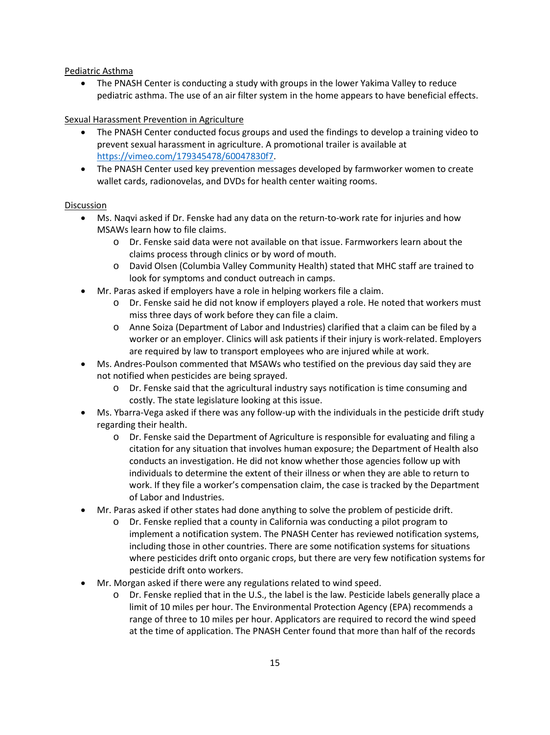#### Pediatric Asthma

pediatric asthma. The use of an air filter system in the home appears to have beneficial effects.<br>Sexual Harassment Prevention in Agriculture • The PNASH Center is conducting a study with groups in the lower Yakima Valley to reduce

- The PNASH Center conducted focus groups and used the findings to develop a training video to prevent sexual harassment in agriculture. A promotional trailer is available at [https://vimeo.com/179345478/60047830f7.](https://vimeo.com/179345478/60047830f7)
- The PNASH Center used key prevention messages developed by farmworker women to create wallet cards, radionovelas, and DVDs for health center waiting rooms.

- Ms. Naqvi asked if Dr. Fenske had any data on the return-to-work rate for injuries and how MSAWs learn how to file claims.
	- claims process through clinics or by word of mouth. o Dr. Fenske said data were not available on that issue. Farmworkers learn about the
	- o David Olsen (Columbia Valley Community Health) stated that MHC staff are trained to look for symptoms and conduct outreach in camps.
- Mr. Paras asked if employers have a role in helping workers file a claim. •
	- Dr. Fenske said he did not know if employers played a role. He noted that workers must miss three days of work before they can file a claim.
	- o Anne Soiza (Department of Labor and Industries) clarified that a claim can be filed by a worker or an employer. Clinics will ask patients if their injury is work-related. Employers are required by law to transport employees who are injured while at work.
- Ms. Andres-Poulson commented that MSAWs who testified on the previous day said they are not notified when pesticides are being sprayed. •
	- o Dr. Fenske said that the agricultural industry says notification is time consuming and costly. The state legislature looking at this issue.
- Ms. Ybarra-Vega asked if there was any follow-up with the individuals in the pesticide drift study regarding their health. •
	- o Dr. Fenske said the Department of Agriculture is responsible for evaluating and filing a citation for any situation that involves human exposure; the Department of Health also conducts an investigation. He did not know whether those agencies follow up with individuals to determine the extent of their illness or when they are able to return to work. If they file a worker's compensation claim, the case is tracked by the Department of Labor and Industries.
- Mr. Paras asked if other states had done anything to solve the problem of pesticide drift.
	- o Dr. Fenske replied that a county in California was conducting a pilot program to implement a notification system. The PNASH Center has reviewed notification systems, including those in other countries. There are some notification systems for situations where pesticides drift onto organic crops, but there are very few notification systems for pesticide drift onto workers.
- Mr. Morgan asked if there were any regulations related to wind speed.
	- Dr. Fenske replied that in the U.S., the label is the law. Pesticide labels generally place a limit of 10 miles per hour. The Environmental Protection Agency (EPA) recommends a range of three to 10 miles per hour. Applicators are required to record the wind speed at the time of application. The PNASH Center found that more than half of the records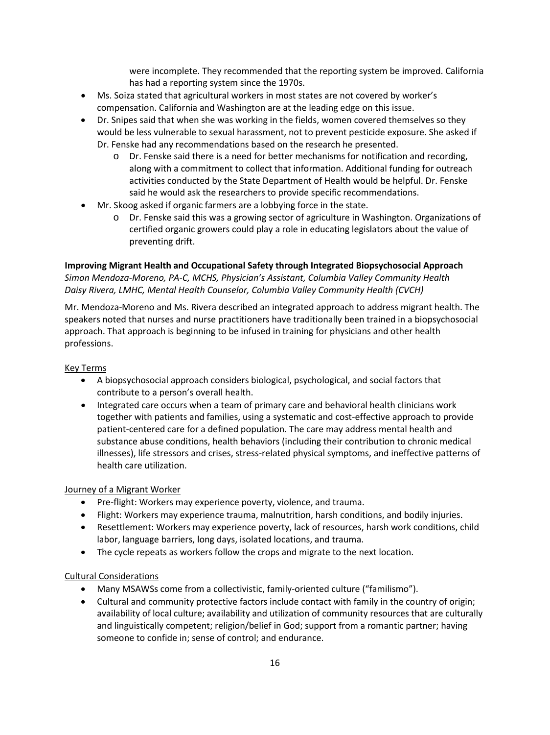has had a reporting system since the 1970s. were incomplete. They recommended that the reporting system be improved. California

- Ms. Soiza stated that agricultural workers in most states are not covered by worker's compensation. California and Washington are at the leading edge on this issue.
- • Dr. Snipes said that when she was working in the fields, women covered themselves so they would be less vulnerable to sexual harassment, not to prevent pesticide exposure. She asked if Dr. Fenske had any recommendations based on the research he presented.
	- along with a commitment to collect that information. Additional funding for outreach activities conducted by the State Department of Health would be helpful. Dr. Fenske  $\circ$  Dr. Fenske said there is a need for better mechanisms for notification and recording, said he would ask the researchers to provide specific recommendations.
- Mr. Skoog asked if organic farmers are a lobbying force in the state.
	- o Dr. Fenske said this was a growing sector of agriculture in Washington. Organizations of certified organic growers could play a role in educating legislators about the value of preventing drift.

# **Improving Migrant Health and Occupational Safety through Integrated Biopsychosocial Approach** *Simon Mendoza-Moreno, PA-C, MCHS, Physician's Assistant, Columbia Valley Community Health Daisy Rivera, LMHC, Mental Health Counselor, Columbia Valley Community Health (CVCH)*

Mr. Mendoza-Moreno and Ms. Rivera described an integrated approach to address migrant health. The speakers noted that nurses and nurse practitioners have traditionally been trained in a biopsychosocial approach. That approach is beginning to be infused in training for physicians and other health professions.

#### Key Terms

- A biopsychosocial approach considers biological, psychological, and social factors that contribute to a person's overall health.
- • Integrated care occurs when a team of primary care and behavioral health clinicians work substance abuse conditions, health behaviors (including their contribution to chronic medical together with patients and families, using a systematic and cost-effective approach to provide patient-centered care for a defined population. The care may address mental health and illnesses), life stressors and crises, stress-related physical symptoms, and ineffective patterns of health care utilization.

#### **Journey of a Migrant Worker**

- Pre-flight: Workers may experience poverty, violence, and trauma.
- Flight: Workers may experience trauma, malnutrition, harsh conditions, and bodily injuries.
- Resettlement: Workers may experience poverty, lack of resources, harsh work conditions, child labor, language barriers, long days, isolated locations, and trauma.
- The cycle repeats as workers follow the crops and migrate to the next location.

#### Cultural Considerations

- Many MSAWSs come from a collectivistic, family-oriented culture ("familismo").
- availability of local culture; availability and utilization of community resources that are culturally • Cultural and community protective factors include contact with family in the country of origin; and linguistically competent; religion/belief in God; support from a romantic partner; having someone to confide in; sense of control; and endurance.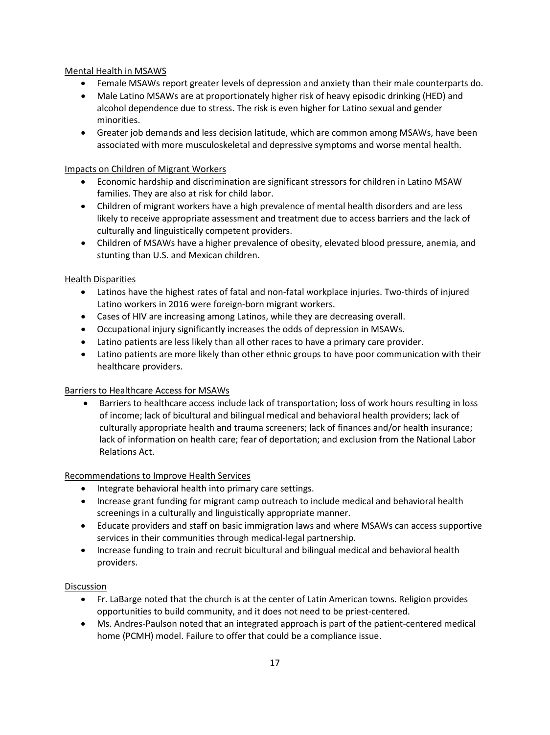# Mental Health in MSAWS

- Female MSAWs report greater levels of depression and anxiety than their male counterparts do.
- • Male Latino MSAWs are at proportionately higher risk of heavy episodic drinking (HED) and alcohol dependence due to stress. The risk is even higher for Latino sexual and gender minorities.
- associated with more musculoskeletal and depressive symptoms and worse mental health. • Greater job demands and less decision latitude, which are common among MSAWs, have been

# Impacts on Children of Migrant Workers

- families. They are also at risk for child labor. • Economic hardship and discrimination are significant stressors for children in Latino MSAW
- Children of migrant workers have a high prevalence of mental health disorders and are less likely to receive appropriate assessment and treatment due to access barriers and the lack of culturally and linguistically competent providers.
- • Children of MSAWs have a higher prevalence of obesity, elevated blood pressure, anemia, and stunting than U.S. and Mexican children.

## Health Disparities

- Latinos have the highest rates of fatal and non-fatal workplace injuries. Two-thirds of injured Latino workers in 2016 were foreign-born migrant workers.
- Cases of HIV are increasing among Latinos, while they are decreasing overall.
- Occupational injury significantly increases the odds of depression in MSAWs.
- Latino patients are less likely than all other races to have a primary care provider.
- Latino patients are more likely than other ethnic groups to have poor communication with their healthcare providers.

# Barriers to Healthcare Access for MSAWs

• Barriers to healthcare access include lack of transportation; loss of work hours resulting in loss Relations Act. of income; lack of bicultural and bilingual medical and behavioral health providers; lack of culturally appropriate health and trauma screeners; lack of finances and/or health insurance; lack of information on health care; fear of deportation; and exclusion from the National Labor

#### Recommendations to Improve Health Services

- Integrate behavioral health into primary care settings.
- Increase grant funding for migrant camp outreach to include medical and behavioral health screenings in a culturally and linguistically appropriate manner.
- Educate providers and staff on basic immigration laws and where MSAWs can access supportive services in their communities through medical-legal partnership.
- Increase funding to train and recruit bicultural and bilingual medical and behavioral health providers.

- Fr. LaBarge noted that the church is at the center of Latin American towns. Religion provides opportunities to build community, and it does not need to be priest-centered.
- Ms. Andres-Paulson noted that an integrated approach is part of the patient-centered medical home (PCMH) model. Failure to offer that could be a compliance issue.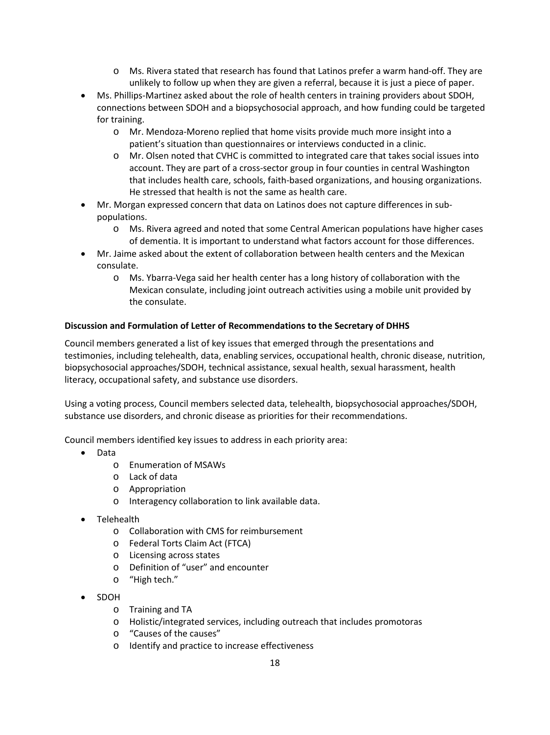- o Ms. Rivera stated that research has found that Latinos prefer a warm hand-off. They are unlikely to follow up when they are given a referral, because it is just a piece of paper.
- Ms. Phillips-Martinez asked about the role of health centers in training providers about SDOH, connections between SDOH and a biopsychosocial approach, and how funding could be targeted for training.
	- o Mr. Mendoza-Moreno replied that home visits provide much more insight into a patient's situation than questionnaires or interviews conducted in a clinic.
	- He stressed that health is not the same as health care. o Mr. Olsen noted that CVHC is committed to integrated care that takes social issues into account. They are part of a cross-sector group in four counties in central Washington that includes health care, schools, faith-based organizations, and housing organizations.
- Mr. Morgan expressed concern that data on Latinos does not capture differences in subpopulations.
	- o Ms. Rivera agreed and noted that some Central American populations have higher cases of dementia. It is important to understand what factors account for those differences.
- Mr. Jaime asked about the extent of collaboration between health centers and the Mexican consulate.
	- o Ms. Ybarra-Vega said her health center has a long history of collaboration with the Mexican consulate, including joint outreach activities using a mobile unit provided by the consulate.

# **Discussion and Formulation of Letter of Recommendations to the Secretary of DHHS**

Council members generated a list of key issues that emerged through the presentations and testimonies, including telehealth, data, enabling services, occupational health, chronic disease, nutrition, biopsychosocial approaches/SDOH, technical assistance, sexual health, sexual harassment, health literacy, occupational safety, and substance use disorders.

Using a voting process, Council members selected data, telehealth, biopsychosocial approaches/SDOH, substance use disorders, and chronic disease as priorities for their recommendations.

Council members identified key issues to address in each priority area:

- Data
	- o Enumeration of MSAWs
	- o Lack of data
	- o Appropriation
	- o Interagency collaboration to link available data.
- Telehealth
	- o Collaboration with CMS for reimbursement
	- o Federal Torts Claim Act (FTCA)
	- o Licensing across states
	- o Definition of "user" and encounter
	- o "High tech."
- SDOH
	- o Training and TA
	- o Holistic/integrated services, including outreach that includes promotoras
	- o "Causes of the causes"
	- o Identify and practice to increase effectiveness